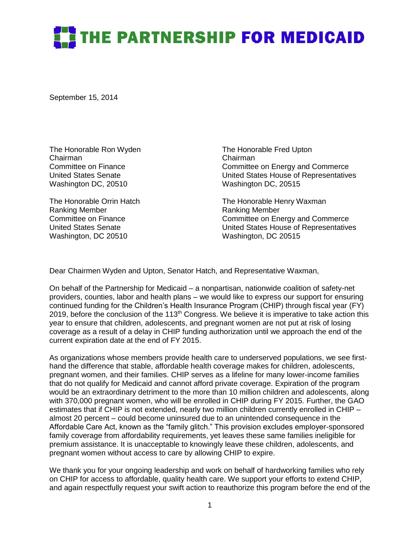## THE PARTNERSHIP FOR MEDICAID

September 15, 2014

The Honorable Ron Wyden The Honorable Fred Upton Chairman<br>Committee on Finance<br>Committee on Finance Washington DC, 20510 Washington DC, 20515

Ranking Member **Ranking Member** Ranking Member Washington, DC 20510 Washington, DC 20515

Committee on Energy and Commerce United States Senate United States House of Representatives

The Honorable Orrin Hatch The Honorable Henry Waxman Committee on Finance Committee on Energy and Commerce United States Senate United States House of Representatives

Dear Chairmen Wyden and Upton, Senator Hatch, and Representative Waxman,

On behalf of the Partnership for Medicaid – a nonpartisan, nationwide coalition of safety-net providers, counties, labor and health plans – we would like to express our support for ensuring continued funding for the Children's Health Insurance Program (CHIP) through fiscal year (FY) 2019, before the conclusion of the 113<sup>th</sup> Congress. We believe it is imperative to take action this year to ensure that children, adolescents, and pregnant women are not put at risk of losing coverage as a result of a delay in CHIP funding authorization until we approach the end of the current expiration date at the end of FY 2015.

As organizations whose members provide health care to underserved populations, we see firsthand the difference that stable, affordable health coverage makes for children, adolescents, pregnant women, and their families. CHIP serves as a lifeline for many lower-income families that do not qualify for Medicaid and cannot afford private coverage. Expiration of the program would be an extraordinary detriment to the more than 10 million children and adolescents, along with 370,000 pregnant women, who will be enrolled in CHIP during FY 2015. Further, the GAO estimates that if CHIP is not extended, nearly two million children currently enrolled in CHIP – almost 20 percent – could become uninsured due to an unintended consequence in the Affordable Care Act, known as the "family glitch." This provision excludes employer-sponsored family coverage from affordability requirements, yet leaves these same families ineligible for premium assistance. It is unacceptable to knowingly leave these children, adolescents, and pregnant women without access to care by allowing CHIP to expire.

We thank you for your ongoing leadership and work on behalf of hardworking families who rely on CHIP for access to affordable, quality health care. We support your efforts to extend CHIP, and again respectfully request your swift action to reauthorize this program before the end of the